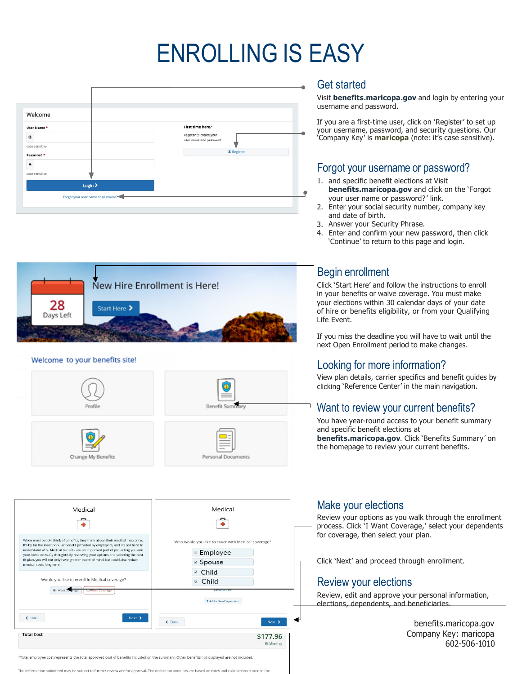# ENROLLING IS EASY







| Medical                                                                                                                                                                                                                                                                                                                                                                                                                                                                                                                                    | Medical                                                                                                                                                                             |
|--------------------------------------------------------------------------------------------------------------------------------------------------------------------------------------------------------------------------------------------------------------------------------------------------------------------------------------------------------------------------------------------------------------------------------------------------------------------------------------------------------------------------------------------|-------------------------------------------------------------------------------------------------------------------------------------------------------------------------------------|
| When most people think of benefits, they think about their medical insurance.<br>It's by far the most popular benefit provided by employers, and it's not hard to<br>understand why. Medical benefits are an important part of protecting you and<br>your loved ones. By thoughtfully reviewing your options and selecting the best<br>fit plan, you will not only have greater peace of mind, but could also reduce<br>medical costs long term.<br>Would you like to enroll in Medical coverage?<br>O I Want Congrage<br>O Walve Coverage | Who would you like to cover with Medical coverage?<br><sup>■</sup> Employee<br><sup>⊠</sup> Spouse<br>Child<br>$\boxtimes$<br>□ Child<br><b>UPSPRIT AI</b><br>+ Add a New Dependent |
| $\xi$ Back<br>Next ><br><b>Total Cost</b>                                                                                                                                                                                                                                                                                                                                                                                                                                                                                                  | $\xi$ Back<br>Next ><br>\$177.96                                                                                                                                                    |
| *Total employee cost represents the total approved cost of benefits included on the summary. Other benefits not displayed are not included.                                                                                                                                                                                                                                                                                                                                                                                                | <b>Bi-Monthly</b>                                                                                                                                                                   |

The information submitted may be subject to further review and/or approval. The deduction amounts are based on rates and calculations stored in the

#### Get started

Visit **benefits.maricopa.gov** and login by entering your username and password.

If you are a first-time user, click on 'Register' to set up your username, password, and security questions. Our 'Company Key' is **maricopa** (note: it's case sensitive).

### Forgot your username or password?

- 1. and specific benefit elections at Visit **benefits.maricopa.gov** and click on the 'Forgot your user name or password?' link.
- 2. Enter your social security number, company key and date of birth.
- 3. Answer your Security Phrase.
- 4. Enter and confirm your new password, then click 'Continue' to return to this page and login.

# Begin enrollment

Click 'Start Here' and follow the instructions to enroll in your benefits or waive coverage. You must make your elections within 30 calendar days of your date of hire or benefits eligibility, or from your Qualifying Life Event.

If you miss the deadline you will have to wait until the next Open Enrollment period to make changes.

# Looking for more information?

View plan details, carrier specifics and benefit guides by clicking 'Reference Center' in the main navigation.

#### Want to review your current benefits?

You have year-round access to your benefit summary and specific benefit elections at **benefits.maricopa.gov**. Click 'Benefits Summary' on the homepage to review your current benefits.

#### Make your elections

Review your options as you walk through the enrollment process. Click 'I Want Coverage,' select your dependents for coverage, then select your plan.

Click 'Next' and proceed through enrollment.

# Review your elections

Review, edit and approve your personal information, elections, dependents, and beneficiaries.

> benefits.maricopa.gov Company Key: maricopa 602-506-1010